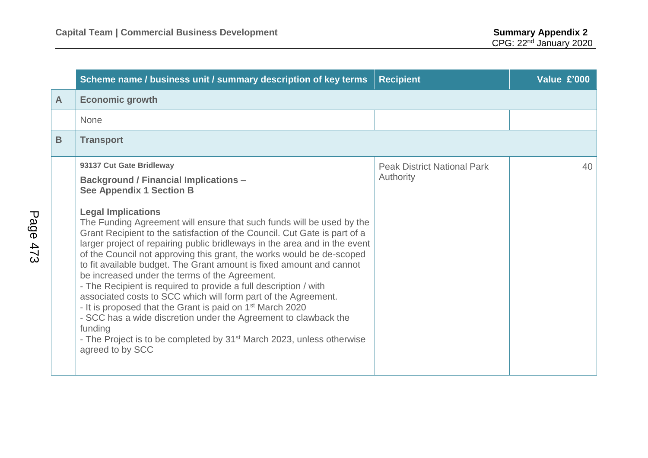|              | Scheme name / business unit / summary description of key terms                                                                                                                                                                                                                                                                                                                                                                                                                                                                                                                                                                                                                                                                                                                                                                                                                                                                                                                        | <b>Recipient</b>                                | Value £'000 |
|--------------|---------------------------------------------------------------------------------------------------------------------------------------------------------------------------------------------------------------------------------------------------------------------------------------------------------------------------------------------------------------------------------------------------------------------------------------------------------------------------------------------------------------------------------------------------------------------------------------------------------------------------------------------------------------------------------------------------------------------------------------------------------------------------------------------------------------------------------------------------------------------------------------------------------------------------------------------------------------------------------------|-------------------------------------------------|-------------|
| $\mathsf{A}$ | <b>Economic growth</b>                                                                                                                                                                                                                                                                                                                                                                                                                                                                                                                                                                                                                                                                                                                                                                                                                                                                                                                                                                |                                                 |             |
|              | None                                                                                                                                                                                                                                                                                                                                                                                                                                                                                                                                                                                                                                                                                                                                                                                                                                                                                                                                                                                  |                                                 |             |
| B            | <b>Transport</b>                                                                                                                                                                                                                                                                                                                                                                                                                                                                                                                                                                                                                                                                                                                                                                                                                                                                                                                                                                      |                                                 |             |
|              | 93137 Cut Gate Bridleway<br><b>Background / Financial Implications -</b><br><b>See Appendix 1 Section B</b><br><b>Legal Implications</b><br>The Funding Agreement will ensure that such funds will be used by the<br>Grant Recipient to the satisfaction of the Council. Cut Gate is part of a<br>larger project of repairing public bridleways in the area and in the event<br>of the Council not approving this grant, the works would be de-scoped<br>to fit available budget. The Grant amount is fixed amount and cannot<br>be increased under the terms of the Agreement.<br>- The Recipient is required to provide a full description / with<br>associated costs to SCC which will form part of the Agreement.<br>- It is proposed that the Grant is paid on 1 <sup>st</sup> March 2020<br>- SCC has a wide discretion under the Agreement to clawback the<br>funding<br>- The Project is to be completed by 31 <sup>st</sup> March 2023, unless otherwise<br>agreed to by SCC | <b>Peak District National Park</b><br>Authority | 40          |